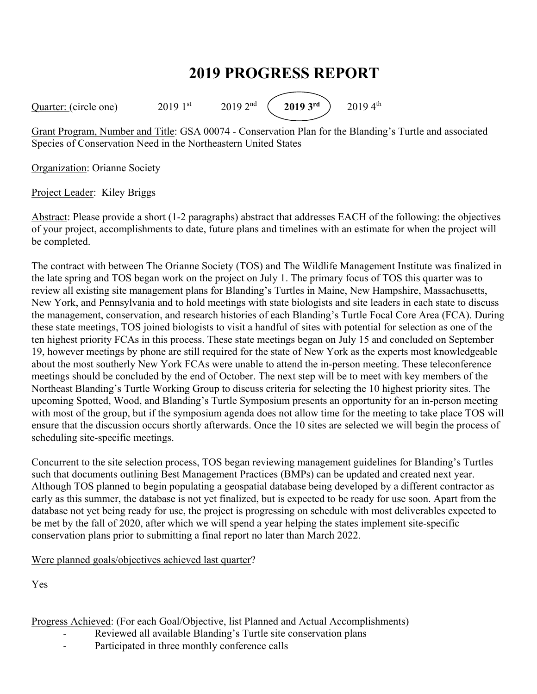## **2019 PROGRESS REPORT**

Quarter: (circle one) 2019 1<sup>st</sup> 2019 2<sup>nd</sup> (2019 3<sup>rd</sup>) 2019 4<sup>th</sup>

Grant Program, Number and Title: GSA 00074 - Conservation Plan for the Blanding's Turtle and associated Species of Conservation Need in the Northeastern United States

Organization: Orianne Society

Project Leader: Kiley Briggs

Abstract: Please provide a short (1-2 paragraphs) abstract that addresses EACH of the following: the objectives of your project, accomplishments to date, future plans and timelines with an estimate for when the project will be completed.

The contract with between The Orianne Society (TOS) and The Wildlife Management Institute was finalized in the late spring and TOS began work on the project on July 1. The primary focus of TOS this quarter was to review all existing site management plans for Blanding's Turtles in Maine, New Hampshire, Massachusetts, New York, and Pennsylvania and to hold meetings with state biologists and site leaders in each state to discuss the management, conservation, and research histories of each Blanding's Turtle Focal Core Area (FCA). During these state meetings, TOS joined biologists to visit a handful of sites with potential for selection as one of the ten highest priority FCAs in this process. These state meetings began on July 15 and concluded on September 19, however meetings by phone are still required for the state of New York as the experts most knowledgeable about the most southerly New York FCAs were unable to attend the in-person meeting. These teleconference meetings should be concluded by the end of October. The next step will be to meet with key members of the Northeast Blanding's Turtle Working Group to discuss criteria for selecting the 10 highest priority sites. The upcoming Spotted, Wood, and Blanding's Turtle Symposium presents an opportunity for an in-person meeting with most of the group, but if the symposium agenda does not allow time for the meeting to take place TOS will ensure that the discussion occurs shortly afterwards. Once the 10 sites are selected we will begin the process of scheduling site-specific meetings.

Concurrent to the site selection process, TOS began reviewing management guidelines for Blanding's Turtles such that documents outlining Best Management Practices (BMPs) can be updated and created next year. Although TOS planned to begin populating a geospatial database being developed by a different contractor as early as this summer, the database is not yet finalized, but is expected to be ready for use soon. Apart from the database not yet being ready for use, the project is progressing on schedule with most deliverables expected to be met by the fall of 2020, after which we will spend a year helping the states implement site-specific conservation plans prior to submitting a final report no later than March 2022.

Were planned goals/objectives achieved last quarter?

Yes

Progress Achieved: (For each Goal/Objective, list Planned and Actual Accomplishments)

- Reviewed all available Blanding's Turtle site conservation plans
- Participated in three monthly conference calls